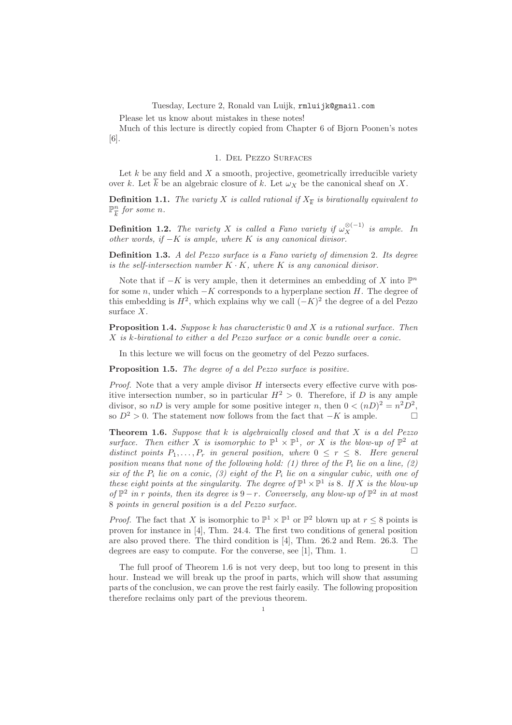Tuesday, Lecture 2, Ronald van Luijk, rmluijk@gmail.com

Please let us know about mistakes in these notes!

Much of this lecture is directly copied from Chapter 6 of Bjorn Poonen's notes [6].

## 1. Del Pezzo Surfaces

Let  $k$  be any field and  $X$  a smooth, projective, geometrically irreducible variety over k. Let  $\overline{k}$  be an algebraic closure of k. Let  $\omega_X$  be the canonical sheaf on X.

**Definition 1.1.** The variety X is called rational if  $X_{\overline{k}}$  is birationally equivalent to  $\mathbb{P}^n_ \frac{n}{k}$  for some n.

**Definition 1.2.** The variety X is called a Fano variety if  $\omega_X^{\otimes(-1)}$  is ample. In other words, if  $-K$  is ample, where K is any canonical divisor.

**Definition 1.3.** A del Pezzo surface is a Fano variety of dimension 2. Its degree is the self-intersection number  $K \cdot K$ , where  $K$  is any canonical divisor.

Note that if  $-K$  is very ample, then it determines an embedding of X into  $\mathbb{P}^n$ for some n, under which  $-K$  corresponds to a hyperplane section H. The degree of this embedding is  $H^2$ , which explains why we call  $(-K)^2$  the degree of a del Pezzo surface X.

**Proposition 1.4.** Suppose k has characteristic 0 and X is a rational surface. Then X is k-birational to either a del Pezzo surface or a conic bundle over a conic.

In this lecture we will focus on the geometry of del Pezzo surfaces.

Proposition 1.5. The degree of a del Pezzo surface is positive.

*Proof.* Note that a very ample divisor  $H$  intersects every effective curve with positive intersection number, so in particular  $H^2 > 0$ . Therefore, if D is any ample divisor, so nD is very ample for some positive integer n, then  $0 < (nD)^2 = n^2D^2$ , so  $D^2 > 0$ . The statement now follows from the fact that  $-K$  is ample.

**Theorem 1.6.** Suppose that  $k$  is algebraically closed and that  $X$  is a del Pezzo surface. Then either X is isomorphic to  $\mathbb{P}^1 \times \mathbb{P}^1$ , or X is the blow-up of  $\mathbb{P}^2$  at distinct points  $P_1, \ldots, P_r$  in general position, where  $0 \leq r \leq 8$ . Here general position means that none of the following hold: (1) three of the  $P_i$  lie on a line, (2) six of the  $P_i$  lie on a conic, (3) eight of the  $P_i$  lie on a singular cubic, with one of these eight points at the singularity. The degree of  $\mathbb{P}^1 \times \mathbb{P}^1$  is 8. If X is the blow-up of  $\mathbb{P}^2$  in r points, then its degree is  $9-r$ . Conversely, any blow-up of  $\mathbb{P}^2$  in at most 8 points in general position is a del Pezzo surface.

*Proof.* The fact that X is isomorphic to  $\mathbb{P}^1 \times \mathbb{P}^1$  or  $\mathbb{P}^2$  blown up at  $r \leq 8$  points is proven for instance in [4], Thm. 24.4. The first two conditions of general position are also proved there. The third condition is [4], Thm. 26.2 and Rem. 26.3. The degrees are easy to compute. For the converse, see [1], Thm. 1.

The full proof of Theorem 1.6 is not very deep, but too long to present in this hour. Instead we will break up the proof in parts, which will show that assuming parts of the conclusion, we can prove the rest fairly easily. The following proposition therefore reclaims only part of the previous theorem.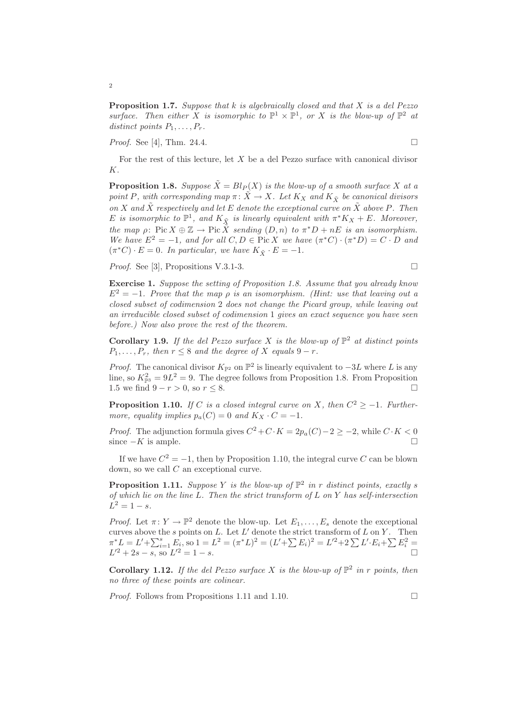**Proposition 1.7.** Suppose that k is algebraically closed and that X is a del Pezzo surface. Then either X is isomorphic to  $\mathbb{P}^1 \times \mathbb{P}^1$ , or X is the blow-up of  $\mathbb{P}^2$  at distinct points  $P_1, \ldots, P_r$ .

*Proof.* See [4], Thm. 24.4.

For the rest of this lecture, let  $X$  be a del Pezzo surface with canonical divisor K.

**Proposition 1.8.** Suppose  $\tilde{X} = Bl_P(X)$  is the blow-up of a smooth surface X at a point P, with corresponding map  $\pi \colon \tilde{X} \to X$ . Let  $K_X$  and  $K_{\tilde{X}}$  be canonical divisors on X and  $\tilde{X}$  respectively and let E denote the exceptional curve on  $\tilde{X}$  above P. Then E is isomorphic to  $\mathbb{P}^1$ , and  $K_{\tilde{X}}$  is linearly equivalent with  $\pi^*K_X + E$ . Moreover, the map  $\rho: Pic X \oplus \mathbb{Z} \to Pic \tilde{X}$  sending  $(D, n)$  to  $\pi^*D + nE$  is an isomorphism. We have  $E^2 = -1$ , and for all  $C, D \in \text{Pic } X$  we have  $(\pi^* C) \cdot (\pi^* D) = C \cdot D$  and  $(\pi^*C) \cdot E = 0$ . In particular, we have  $K_{\tilde{X}} \cdot E = -1$ .

*Proof.* See [3], Propositions V.3.1-3.

Exercise 1. Suppose the setting of Proposition 1.8. Assume that you already know  $E^2 = -1$ . Prove that the map  $\rho$  is an isomorphism. (Hint: use that leaving out a closed subset of codimension 2 does not change the Picard group, while leaving out an irreducible closed subset of codimension 1 gives an exact sequence you have seen before.) Now also prove the rest of the theorem.

Corollary 1.9. If the del Pezzo surface X is the blow-up of  $\mathbb{P}^2$  at distinct points  $P_1, \ldots, P_r$ , then  $r \leq 8$  and the degree of X equals  $9 - r$ .

*Proof.* The canonical divisor  $K_{\mathbb{P}^2}$  on  $\mathbb{P}^2$  is linearly equivalent to  $-3L$  where L is any line, so  $K_{\mathbb{P}^3}^2 = 9L^2 = 9$ . The degree follows from Proposition 1.8. From Proposition 1.5 we find  $9 - r > 0$ , so  $r \le 8$ . □

**Proposition 1.10.** If C is a closed integral curve on X, then  $C^2 \ge -1$ . Furthermore, equality implies  $p_a(C) = 0$  and  $K_X \cdot C = -1$ .

*Proof.* The adjunction formula gives  $C^2 + C \cdot K = 2p_a(C) - 2 \geq -2$ , while  $C \cdot K < 0$ since  $-K$  is ample.

If we have  $C^2 = -1$ , then by Proposition 1.10, the integral curve C can be blown down, so we call C an exceptional curve.

**Proposition 1.11.** Suppose Y is the blow-up of  $\mathbb{P}^2$  in r distinct points, exactly s of which lie on the line L. Then the strict transform of L on Y has self-intersection  $L^2 = 1 - s.$ 

*Proof.* Let  $\pi: Y \to \mathbb{P}^2$  denote the blow-up. Let  $E_1, \ldots, E_s$  denote the exceptional curves above the s points on  $L$ . Let  $L'$  denote the strict transform of  $L$  on  $Y$ . Then  $\pi^* L = L' + \sum_{i=1}^s E_i$ , so  $1 = L^2 = (\pi^* L)^2 = (L' + \sum E_i)^2 = L'^2 + 2 \sum L' \cdot E_i + \sum E_i^2 =$  $L'^2 + 2s - s$ , so  $L'^2 = 1 - s$ .

**Corollary 1.12.** If the del Pezzo surface X is the blow-up of  $\mathbb{P}^2$  in r points, then no three of these points are colinear.

*Proof.* Follows from Propositions 1.11 and 1.10. □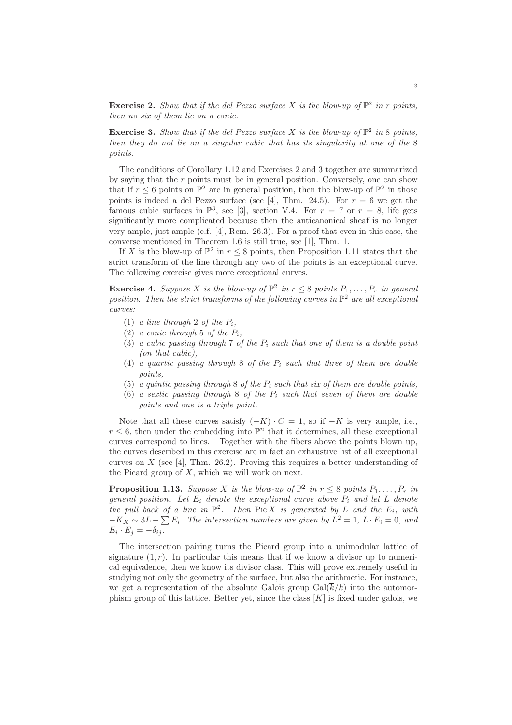**Exercise 2.** Show that if the del Pezzo surface X is the blow-up of  $\mathbb{P}^2$  in r points, then no six of them lie on a conic.

**Exercise 3.** Show that if the del Pezzo surface X is the blow-up of  $\mathbb{P}^2$  in 8 points, then they do not lie on a singular cubic that has its singularity at one of the 8 points.

The conditions of Corollary 1.12 and Exercises 2 and 3 together are summarized by saying that the  $r$  points must be in general position. Conversely, one can show that if  $r \leq 6$  points on  $\mathbb{P}^2$  are in general position, then the blow-up of  $\mathbb{P}^2$  in those points is indeed a del Pezzo surface (see [4], Thm. 24.5). For  $r = 6$  we get the famous cubic surfaces in  $\mathbb{P}^3$ , see [3], section V.4. For  $r = 7$  or  $r = 8$ , life gets significantly more complicated because then the anticanonical sheaf is no longer very ample, just ample (c.f. [4], Rem. 26.3). For a proof that even in this case, the converse mentioned in Theorem 1.6 is still true, see [1], Thm. 1.

If X is the blow-up of  $\mathbb{P}^2$  in  $r \leq 8$  points, then Proposition 1.11 states that the strict transform of the line through any two of the points is an exceptional curve. The following exercise gives more exceptional curves.

**Exercise 4.** Suppose X is the blow-up of  $\mathbb{P}^2$  in  $r \leq 8$  points  $P_1, \ldots, P_r$  in general position. Then the strict transforms of the following curves in  $\mathbb{P}^2$  are all exceptional curves:

- (1) a line through 2 of the  $P_i$ ,
- (2) a conic through 5 of the  $P_i$ ,
- (3) a cubic passing through 7 of the  $P_i$  such that one of them is a double point (on that cubic),
- (4) a quartic passing through 8 of the  $P_i$  such that three of them are double points,
- (5) a quintic passing through 8 of the  $P_i$  such that six of them are double points.
- (6) a sextic passing through 8 of the  $P_i$  such that seven of them are double points and one is a triple point.

Note that all these curves satisfy  $(-K) \cdot C = 1$ , so if  $-K$  is very ample, i.e.,  $r \leq 6$ , then under the embedding into  $\mathbb{P}^n$  that it determines, all these exceptional curves correspond to lines. Together with the fibers above the points blown up, the curves described in this exercise are in fact an exhaustive list of all exceptional curves on  $X$  (see [4], Thm. 26.2). Proving this requires a better understanding of the Picard group of  $X$ , which we will work on next.

**Proposition 1.13.** Suppose X is the blow-up of  $\mathbb{P}^2$  in  $r \leq 8$  points  $P_1, \ldots, P_r$  in general position. Let  $E_i$  denote the exceptional curve above  $P_i$  and let L denote the pull back of a line in  $\mathbb{P}^2$ . Then Pic X is generated by L and the  $E_i$ , with  $-K_X \sim 3L - \sum E_i$ . The intersection numbers are given by  $L^2 = 1$ ,  $L \cdot E_i = 0$ , and  $E_i \cdot E_j = -\delta_{ij}.$ 

The intersection pairing turns the Picard group into a unimodular lattice of signature  $(1, r)$ . In particular this means that if we know a divisor up to numerical equivalence, then we know its divisor class. This will prove extremely useful in studying not only the geometry of the surface, but also the arithmetic. For instance, we get a representation of the absolute Galois group  $Gal(\overline{k}/k)$  into the automorphism group of this lattice. Better yet, since the class  $[K]$  is fixed under galois, we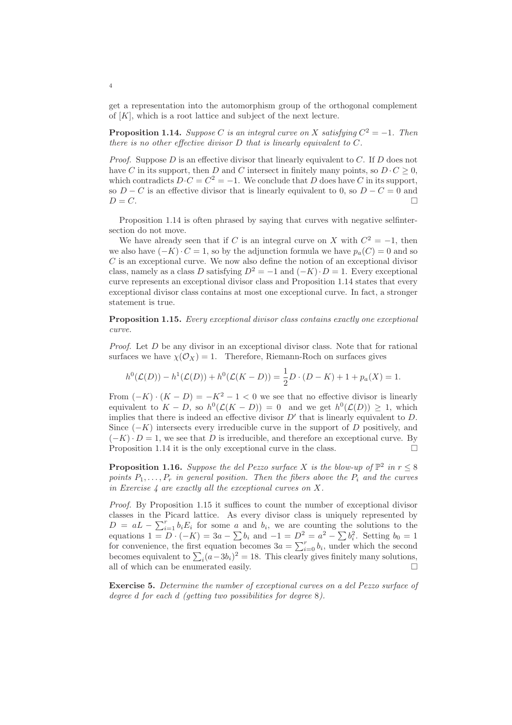get a representation into the automorphism group of the orthogonal complement of  $[K]$ , which is a root lattice and subject of the next lecture.

**Proposition 1.14.** Suppose C is an integral curve on X satisfying  $C^2 = -1$ . Then there is no other effective divisor D that is linearly equivalent to C.

*Proof.* Suppose  $D$  is an effective divisor that linearly equivalent to  $C$ . If  $D$  does not have C in its support, then D and C intersect in finitely many points, so  $D \cdot C \geq 0$ , which contradicts  $D \cdot C = C^2 = -1$ . We conclude that D does have C in its support, so  $D - C$  is an effective divisor that is linearly equivalent to 0, so  $D - C = 0$  and  $D = C.$ 

Proposition 1.14 is often phrased by saying that curves with negative selfintersection do not move.

We have already seen that if C is an integral curve on X with  $C^2 = -1$ , then we also have  $(-K) \cdot C = 1$ , so by the adjunction formula we have  $p_a(C) = 0$  and so  $C$  is an exceptional curve. We now also define the notion of an exceptional divisor class, namely as a class D satisfying  $D^2 = -1$  and  $(-K) \cdot D = 1$ . Every exceptional curve represents an exceptional divisor class and Proposition 1.14 states that every exceptional divisor class contains at most one exceptional curve. In fact, a stronger statement is true.

Proposition 1.15. Every exceptional divisor class contains exactly one exceptional curve.

*Proof.* Let  $D$  be any divisor in an exceptional divisor class. Note that for rational surfaces we have  $\chi(\mathcal{O}_X) = 1$ . Therefore, Riemann-Roch on surfaces gives

$$
h^{0}(\mathcal{L}(D)) - h^{1}(\mathcal{L}(D)) + h^{0}(\mathcal{L}(K - D)) = \frac{1}{2}D \cdot (D - K) + 1 + p_{a}(X) = 1.
$$

From  $(-K) \cdot (K - D) = -K^2 - 1 < 0$  we see that no effective divisor is linearly equivalent to  $K - D$ , so  $h^0(\mathcal{L}(K - D)) = 0$  and we get  $h^0(\mathcal{L}(D)) \geq 1$ , which implies that there is indeed an effective divisor  $D'$  that is linearly equivalent to  $D$ . Since  $(-K)$  intersects every irreducible curve in the support of D positively, and  $(-K) \cdot D = 1$ , we see that D is irreducible, and therefore an exceptional curve. By Proposition 1.14 it is the only exceptional curve in the class.

**Proposition 1.16.** Suppose the del Pezzo surface X is the blow-up of  $\mathbb{P}^2$  in  $r \leq 8$ points  $P_1, \ldots, P_r$  in general position. Then the fibers above the  $P_i$  and the curves in Exercise  $\lambda$  are exactly all the exceptional curves on X.

Proof. By Proposition 1.15 it suffices to count the number of exceptional divisor classes in the Picard lattice. As every divisor class is uniquely represented by  $D = aL - \sum_{i=1}^{r} b_i E_i$  for some a and  $b_i$ , we are counting the solutions to the equations  $1 = D \cdot (-K) = 3a - \sum b_i$  and  $-1 = D^2 = a^2 - \sum b_i^2$ . Setting  $b_0 = 1$ for convenience, the first equation becomes  $3a = \sum_{i=0}^{r} b_i$ , under which the second becomes equivalent to  $\sum_i (a-3b_i)^2 = 18$ . This clearly gives finitely many solutions, all of which can be enumerated easily.  $\hfill \square$ 

Exercise 5. Determine the number of exceptional curves on a del Pezzo surface of degree d for each d (getting two possibilities for degree 8).